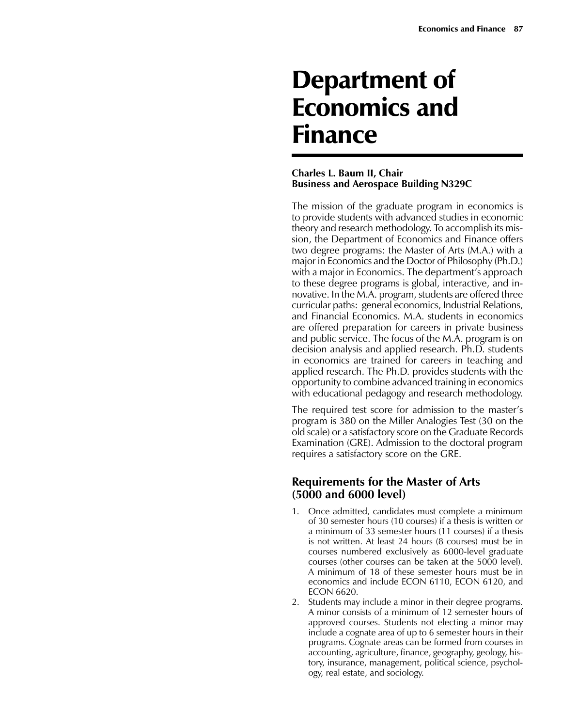# Department of Economics and Finance

### **Charles L. Baum II, Chair Business and Aerospace Building N329C**

The mission of the graduate program in economics is to provide students with advanced studies in economic theory and research methodology. To accomplish its mission, the Department of Economics and Finance offers two degree programs: the Master of Arts (M.A.) with a major in Economics and the Doctor of Philosophy (Ph.D.) with a major in Economics. The department's approach to these degree programs is global, interactive, and innovative. In the M.A. program, students are offered three curricular paths: general economics, Industrial Relations, and Financial Economics. M.A. students in economics are offered preparation for careers in private business and public service. The focus of the M.A. program is on decision analysis and applied research. Ph.D. students in economics are trained for careers in teaching and applied research. The Ph.D. provides students with the opportunity to combine advanced training in economics with educational pedagogy and research methodology.

The required test score for admission to the master's program is 380 on the Miller Analogies Test (30 on the old scale) or a satisfactory score on the Graduate Records Examination (GRE). Admission to the doctoral program requires a satisfactory score on the GRE.

# **Requirements for the Master of Arts (5000 and 6000 level)**

- 1. Once admitted, candidates must complete a minimum of 30 semester hours (10 courses) if a thesis is written or a minimum of 33 semester hours (11 courses) if a thesis is not written. At least 24 hours (8 courses) must be in courses numbered exclusively as 6000-level graduate courses (other courses can be taken at the 5000 level). A minimum of 18 of these semester hours must be in economics and include ECON 6110, ECON 6120, and ECON 6620.
- 2. Students may include a minor in their degree programs. A minor consists of a minimum of 12 semester hours of approved courses. Students not electing a minor may include a cognate area of up to 6 semester hours in their programs. Cognate areas can be formed from courses in accounting, agriculture, finance, geography, geology, history, insurance, management, political science, psychology, real estate, and sociology.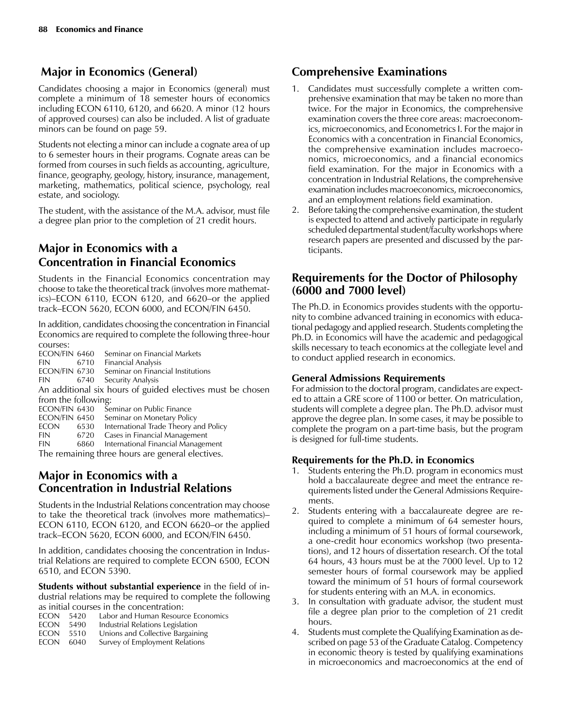# **Major in Economics (General)**

Candidates choosing a major in Economics (general) must complete a minimum of 18 semester hours of economics including ECON  $6110$ ,  $6120$ , and  $6620$ . A minor  $(12 \text{ hours})$ of approved courses) can also be included. A list of graduate minors can be found on page 59.

Students not electing a minor can include a cognate area of up to 6 semester hours in their programs. Cognate areas can be formed from courses in such fields as accounting, agriculture, finance, geography, geology, history, insurance, management, marketing, mathematics, political science, psychology, real estate, and sociology.

The student, with the assistance of the M.A. advisor, must file a degree plan prior to the completion of 21 credit hours.

# **Major in Economics with a Concentration in Financial Economics**

Students in the Financial Economics concentration may choose to take the theoretical track (involves more mathematics)–ECON 6110, ECON 6120, and 6620–or the applied track–ECON 5620, ECON 6000, and ECON/FIN 6450.

In addition, candidates choosing the concentration in Financial Economics are required to complete the following three-hour

courses:<br>ECON/FIN 6460 Seminar on Financial Markets FIN 6710 Financial Analysis<br>ECON/FIN 6730 Seminar on Finan Seminar on Financial Institutions FIN 6740 Security Analysis An additional six hours of guided electives must be chosen from the following:<br>ECON/FIN 6430 Se ECON/FIN 6430 Seminar on Public Finance<br>ECON/FIN 6450 Seminar on Monetary Polic Seminar on Monetary Policy ECON 6530 International Trade Theory and Policy FIN 6720 Cases in Financial Management FIN 6860 International Financial Management

The remaining three hours are general electives.

# **Major in Economics with a Concentration in Industrial Relations**

Students in the Industrial Relations concentration may choose to take the theoretical track (involves more mathematics)– ECON 6110, ECON 6120, and ECON 6620–or the applied track–ECON 5620, ECON 6000, and ECON/FIN 6450.

In addition, candidates choosing the concentration in Industrial Relations are required to complete ECON 6500, ECON 6510, and ECON 5390.

**Students without substantial experience** in the field of industrial relations may be required to complete the following as initial courses in the concentration:

| <b>Labor and Human Resource Economics</b><br>ECON 5420 |  |
|--------------------------------------------------------|--|
|--------------------------------------------------------|--|

- ECON 5490 Industrial Relations Legislation<br>ECON 5510 Unions and Collective Bargaini
- Unions and Collective Bargaining ECON 6040 Survey of Employment Relations

# **Comprehensive Examinations**

- 1. Candidates must successfully complete a written comprehensive examination that may be taken no more than twice. For the major in Economics, the comprehensive examination covers the three core areas: macroeconomics, microeconomics, and Econometrics I. For the major in Economics with a concentration in Financial Economics, the comprehensive examination includes macroeconomics, microeconomics, and a financial economics field examination. For the major in Economics with a concentration in Industrial Relations, the comprehensive examination includes macroeconomics, microeconomics, and an employment relations field examination.
- 2. Before taking the comprehensive examination, the student is expected to attend and actively participate in regularly scheduled departmental student/faculty workshops where research papers are presented and discussed by the participants.

# **Requirements for the Doctor of Philosophy (6000 and 7000 level)**

The Ph.D. in Economics provides students with the opportunity to combine advanced training in economics with educational pedagogy and applied research. Students completing the Ph.D. in Economics will have the academic and pedagogical skills necessary to teach economics at the collegiate level and to conduct applied research in economics.

## **General Admissions Requirements**

For admission to the doctoral program, candidates are expected to attain a GRE score of 1100 or better. On matriculation, students will complete a degree plan. The Ph.D. advisor must approve the degree plan. In some cases, it may be possible to complete the program on a part-time basis, but the program is designed for full-time students.

## **Requirements for the Ph.D. in Economics**

- 1. Students entering the Ph.D. program in economics must hold a baccalaureate degree and meet the entrance requirements listed under the General Admissions Requirements.
- 2. Students entering with a baccalaureate degree are required to complete a minimum of 64 semester hours, including a minimum of 51 hours of formal coursework, a one-credit hour economics workshop (two presentations), and 12 hours of dissertation research. Of the total 64 hours, 43 hours must be at the 7000 level. Up to 12 semester hours of formal coursework may be applied toward the minimum of 51 hours of formal coursework for students entering with an M.A. in economics.
- 3. In consultation with graduate advisor, the student must file a degree plan prior to the completion of 21 credit hours.
- 4. Students must complete the Qualifying Examination as described on page 53 of the Graduate Catalog. Competency in economic theory is tested by qualifying examinations in microeconomics and macroeconomics at the end of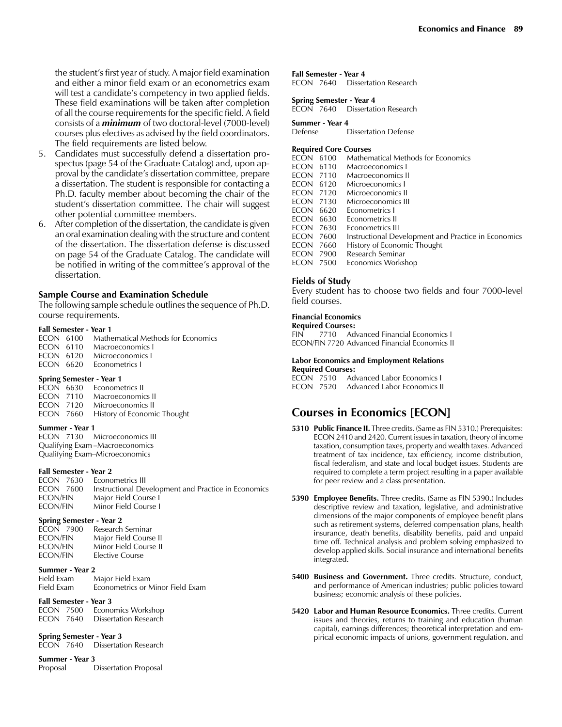The field requirements are listed below.

- 5. Candidates must successfully defend a dissertation prospectus (page 54 of the Graduate Catalog) and, upon approval by the candidate's dissertation committee, prepare a dissertation. The student is responsible for contacting a Ph.D. faculty member about becoming the chair of the student's dissertation committee. The chair will suggest other potential committee members.
- 6. After completion of the dissertation, the candidate is given an oral examination dealing with the structure and content of the dissertation. The dissertation defense is discussed on page 54 of the Graduate Catalog. The candidate will be notified in writing of the committee's approval of the dissertation.

#### **Sample Course and Examination Schedule**

The following sample schedule outlines the sequence of Ph.D. course requirements.

#### **Fall Semester - Year 1**

|  | <b>ECON</b> 6100 Mathematical Methods for Economics |
|--|-----------------------------------------------------|
|  | ECON 6110 Macroeconomics L                          |
|  | FCON 6120 Microeconomics L                          |
|  | ECON 6620 Econometrics L                            |

#### **Spring Semester - Year 1**

|  | ECON 6630 Econometrics II             |
|--|---------------------------------------|
|  | ECON 7110 Macroeconomics II           |
|  | ECON 7120 Microeconomics II           |
|  | ECON 7660 History of Economic Thought |

#### **Summer - Year 1**

ECON 7130 Microeconomics III Qualifying Exam –Macroeconomics Qualifying Exam–Microeconomics

#### **Fall Semester - Year 2**

|                 | ECON 7630 Econometrics III                          |
|-----------------|-----------------------------------------------------|
| ECON 7600       | Instructional Development and Practice in Economics |
| ECON/FIN        | Major Field Course I                                |
| <b>ECON/FIN</b> | Minor Field Course L                                |

#### **Spring Semester - Year 2**

#### **Summer - Year 2**

| Field Exam | Major Field Exam                 |
|------------|----------------------------------|
| Field Exam | Econometrics or Minor Field Exam |

#### **Fall Semester - Year 3**

ECON 7500 Economics Workshop ECON 7640 Dissertation Research

#### **Spring Semester - Year 3** ECON 7640 Dissertation Research

**Summer - Year 3**

Proposal Dissertation Proposal

#### **Fall Semester - Year 4**

ECON 7640 Dissertation Research

#### **Spring Semester - Year 4**

ECON 7640 Dissertation Research

# **Summer - Year 4**

**Dissertation Defense** 

#### **Required Core Courses**

| econ             | 6100 | <b>Mathematical Methods for Economics</b>           |
|------------------|------|-----------------------------------------------------|
| ECON 6110        |      | Macroeconomics L                                    |
| <b>ECON 7110</b> |      | Macroeconomics II                                   |
| econ             | 6120 | Microeconomics I                                    |
| ECON 7120        |      | Microeconomics II                                   |
| ECON 7130        |      | Microeconomics III                                  |
| econ             | 6620 | Econometrics I                                      |
| ECON 6630        |      | Econometrics II                                     |
| ECON 7630        |      | Econometrics III                                    |
| ECON 7600        |      | Instructional Development and Practice in Economics |
| ECON 7660        |      | History of Economic Thought                         |
| ECON 7900        |      | Research Seminar                                    |
| ECON 7500        |      | Economics Workshop                                  |
|                  |      |                                                     |

#### **Fields of Study**

Every student has to choose two fields and four 7000-level field courses.

#### **Financial Economics**

**Required Courses:** FIN 7710 Advanced Financial Economics I ECON/FIN 7720 Advanced Financial Economics II

#### **Labor Economics and Employment Relations**

**Required Courses:** ECON 7510 Advanced Labor Economics I ECON 7520 Advanced Labor Economics II

# **Courses in Economics [ECON]**

- **5310 Public Finance II.** Three credits. (Same as FIN 5310.) Prerequisites: ECON 2410 and 2420. Current issues in taxation, theory of income taxation, consumption taxes, property and wealth taxes. Advanced treatment of tax incidence, tax efficiency, income distribution, fiscal federalism, and state and local budget issues. Students are required to complete a term project resulting in a paper available for peer review and a class presentation.
- **5390 Employee Benefits.** Three credits. (Same as FIN 5390.) Includes descriptive review and taxation, legislative, and administrative dimensions of the major components of employee benefit plans such as retirement systems, deferred compensation plans, health insurance, death benefits, disability benefits, paid and unpaid time off. Technical analysis and problem solving emphasized to develop applied skills. Social insurance and international benefits integrated.
- **5400 Business and Government.** Three credits. Structure, conduct, and performance of American industries; public policies toward business; economic analysis of these policies.
- **5420 Labor and Human Resource Economics.** Three credits. Current issues and theories, returns to training and education (human capital), earnings differences; theoretical interpretation and empirical economic impacts of unions, government regulation, and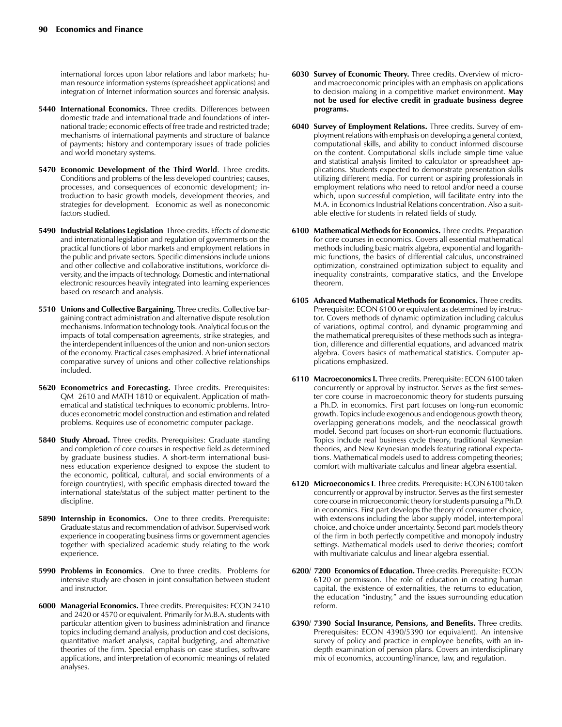international forces upon labor relations and labor markets; human resource information systems (spreadsheet applications) and integration of Internet information sources and forensic analysis.

- **5440 International Economics.** Three credits. Differences between domestic trade and international trade and foundations of international trade; economic effects of free trade and restricted trade; mechanisms of international payments and structure of balance of payments; history and contemporary issues of trade policies and world monetary systems.
- **5470 Economic Development of the Third World**. Three credits. Conditions and problems of the less developed countries; causes, processes, and consequences of economic development; introduction to basic growth models, development theories, and strategies for development. Economic as well as noneconomic factors studied.
- **5490 Industrial Relations Legislation** Three credits. Effects of domestic and international legislation and regulation of governments on the practical functions of labor markets and employment relations in the public and private sectors. Specific dimensions include unions and other collective and collaborative institutions, workforce diversity, and the impacts of technology. Domestic and international electronic resources heavily integrated into learning experiences based on research and analysis.
- **5510 Unions and Collective Bargaining**. Three credits. Collective bargaining contract administration and alternative dispute resolution mechanisms. Information technology tools. Analytical focus on the impacts of total compensation agreements, strike strategies, and the interdependent influences of the union and non-union sectors of the economy. Practical cases emphasized. A brief international comparative survey of unions and other collective relationships included.
- **5620 Econometrics and Forecasting.** Three credits. Prerequisites: QM 2610 and MATH 1810 or equivalent. Application of mathematical and statistical techniques to economic problems. Introduces econometric model construction and estimation and related problems. Requires use of econometric computer package.
- **5840 Study Abroad.** Three credits. Prerequisites: Graduate standing and completion of core courses in respective field as determined by graduate business studies. A short-term international business education experience designed to expose the student to the economic, political, cultural, and social environments of a foreign country(ies), with specific emphasis directed toward the international state/status of the subject matter pertinent to the discipline.
- **5890 Internship in Economics.** One to three credits. Prerequisite: Graduate status and recommendation of advisor. Supervised work experience in cooperating business firms or government agencies together with specialized academic study relating to the work experience.
- **5990 Problems in Economics**. One to three credits. Problems for intensive study are chosen in joint consultation between student and instructor.
- **6000 Managerial Economics.** Three credits. Prerequisites: ECON 2410 and 2420 or 4570 or equivalent. Primarily for M.B.A. students with particular attention given to business administration and finance topics including demand analysis, production and cost decisions, quantitative market analysis, capital budgeting, and alternative theories of the firm. Special emphasis on case studies, software applications, and interpretation of economic meanings of related analyses.
- **6030 Survey of Economic Theory.** Three credits. Overview of microand macroeconomic principles with an emphasis on applications to decision making in a competitive market environment. **May not be used for elective credit in graduate business degree programs.**
- **6040 Survey of Employment Relations.** Three credits. Survey of employment relations with emphasis on developing a general context, computational skills, and ability to conduct informed discourse on the content. Computational skills include simple time value and statistical analysis limited to calculator or spreadsheet applications. Students expected to demonstrate presentation skills utilizing different media. For current or aspiring professionals in employment relations who need to retool and/or need a course which, upon successful completion, will facilitate entry into the M.A. in Economics Industrial Relations concentration. Also a suitable elective for students in related fields of study.
- **6100 Mathematical Methods for Economics.** Three credits. Preparation for core courses in economics. Covers all essential mathematical methods including basic matrix algebra, exponential and logarithmic functions, the basics of differential calculus, unconstrained optimization, constrained optimization subject to equality and inequality constraints, comparative statics, and the Envelope theorem.
- **6105 Advanced Mathematical Methods for Economics.** Three credits. Prerequisite: ECON 6100 or equivalent as determined by instructor. Covers methods of dynamic optimization including calculus of variations, optimal control, and dynamic programming and the mathematical prerequisites of these methods such as integration, difference and differential equations, and advanced matrix algebra. Covers basics of mathematical statistics. Computer applications emphasized.
- **6110 Macroeconomics I.** Three credits. Prerequisite: ECON 6100 taken concurrently or approval by instructor. Serves as the first semester core course in macroeconomic theory for students pursuing a Ph.D. in economics. First part focuses on long-run economic growth. Topics include exogenous and endogenous growth theory, overlapping generations models, and the neoclassical growth model. Second part focuses on short-run economic fluctuations. Topics include real business cycle theory, traditional Keynesian theories, and New Keynesian models featuring rational expectations. Mathematical models used to address competing theories; comfort with multivariate calculus and linear algebra essential.
- **6120 Microeconomics I**. Three credits. Prerequisite: ECON 6100 taken concurrently or approval by instructor. Serves as the first semester core course in microeconomic theory for students pursuing a Ph.D. in economics. First part develops the theory of consumer choice, with extensions including the labor supply model, intertemporal choice, and choice under uncertainty. Second part models theory of the firm in both perfectly competitive and monopoly industry settings. Mathematical models used to derive theories; comfort with multivariate calculus and linear algebra essential.
- **6200/ 7200 Economics of Education.** Three credits. Prerequisite: ECON 6120 or permission. The role of education in creating human capital, the existence of externalities, the returns to education, the education "industry," and the issues surrounding education reform.
- **6390/ 7390 Social Insurance, Pensions, and Benefits.** Three credits. Prerequisites: ECON 4390/5390 (or equivalent). An intensive survey of policy and practice in employee benefits, with an indepth examination of pension plans. Covers an interdisciplinary mix of economics, accounting/finance, law, and regulation.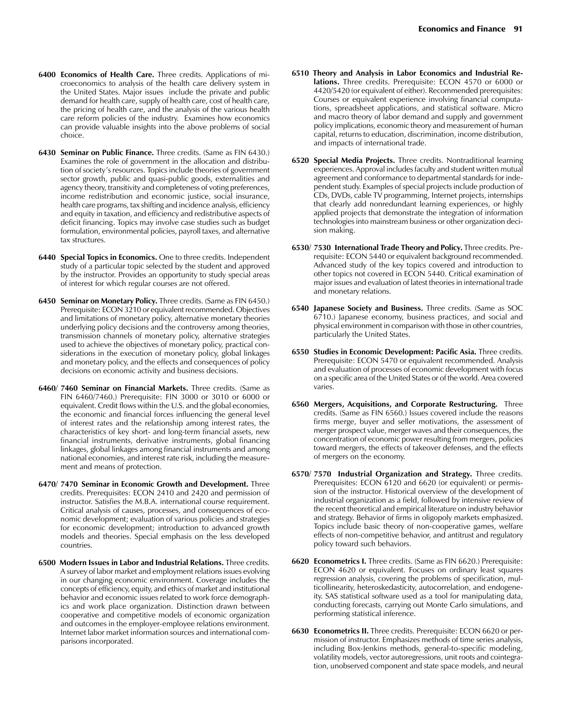- **6400 Economics of Health Care.** Three credits. Applications of microeconomics to analysis of the health care delivery system in the United States. Major issues include the private and public demand for health care, supply of health care, cost of health care, the pricing of health care, and the analysis of the various health care reform policies of the industry. Examines how economics can provide valuable insights into the above problems of social choice.
- **6430 Seminar on Public Finance.** Three credits. (Same as FIN 6430.) Examines the role of government in the allocation and distribution of society's resources. Topics include theories of government sector growth, public and quasi-public goods, externalities and agency theory, transitivity and completeness of voting preferences, income redistribution and economic justice, social insurance, health care programs, tax shifting and incidence analysis, efficiency and equity in taxation, and efficiency and redistributive aspects of deficit financing. Topics may involve case studies such as budget formulation, environmental policies, payroll taxes, and alternative tax structures.
- **6440 Special Topics in Economics.** One to three credits. Independent study of a particular topic selected by the student and approved by the instructor. Provides an opportunity to study special areas of interest for which regular courses are not offered.
- **6450 Seminar on Monetary Policy.** Three credits. (Same as FIN 6450.) Prerequisite: ECON 3210 or equivalent recommended. Objectives and limitations of monetary policy, alternative monetary theories underlying policy decisions and the controversy among theories, transmission channels of monetary policy, alternative strategies used to achieve the objectives of monetary policy, practical considerations in the execution of monetary policy, global linkages and monetary policy, and the effects and consequences of policy decisions on economic activity and business decisions.
- **6460/ 7460 Seminar on Financial Markets.** Three credits. (Same as FIN 6460/7460.) Prerequisite: FIN 3000 or 3010 or 6000 or equivalent. Credit flows within the U.S. and the global economies, the economic and financial forces influencing the general level of interest rates and the relationship among interest rates, the characteristics of key short- and long-term financial assets, new financial instruments, derivative instruments, global financing linkages, global linkages among financial instruments and among national economies, and interest rate risk, including the measurement and means of protection.
- **6470/ 7470 Seminar in Economic Growth and Development.** Three credits. Prerequisites: ECON 2410 and 2420 and permission of instructor. Satisfies the M.B.A. international course requirement. Critical analysis of causes, processes, and consequences of economic development; evaluation of various policies and strategies for economic development; introduction to advanced growth models and theories. Special emphasis on the less developed countries.
- **6500 Modern Issues in Labor and Industrial Relations.** Three credits. A survey of labor market and employment relations issues evolving in our changing economic environment. Coverage includes the concepts of efficiency, equity, and ethics of market and institutional behavior and economic issues related to work force demographics and work place organization. Distinction drawn between cooperative and competitive models of economic organization and outcomes in the employer-employee relations environment. Internet labor market information sources and international comparisons incorporated.
- **6510 Theory and Analysis in Labor Economics and Industrial Relations.** Three credits. Prerequisite: ECON 4570 or 6000 or 4420/5420 (or equivalent of either). Recommended prerequisites: Courses or equivalent experience involving financial computations, spreadsheet applications, and statistical software. Micro and macro theory of labor demand and supply and government policy implications, economic theory and measurement of human capital, returns to education, discrimination, income distribution, and impacts of international trade.
- **6520 Special Media Projects.** Three credits. Nontraditional learning experiences. Approval includes faculty and student written mutual agreement and conformance to departmental standards for independent study. Examples of special projects include production of CDs, DVDs, cable TV programming, Internet projects, internships that clearly add nonredundant learning experiences, or highly applied projects that demonstrate the integration of information technologies into mainstream business or other organization decision making.
- **6530/ 7530 International Trade Theory and Policy.** Three credits. Prerequisite: ECON 5440 or equivalent background recommended. Advanced study of the key topics covered and introduction to other topics not covered in ECON 5440. Critical examination of major issues and evaluation of latest theories in international trade and monetary relations.
- **6540 Japanese Society and Business.** Three credits. (Same as SOC 6710.) Japanese economy, business practices, and social and physical environment in comparison with those in other countries, particularly the United States.
- **6550 Studies in Economic Development: Pacific Asia.** Three credits. Prerequisite: ECON 5470 or equivalent recommended. Analysis and evaluation of processes of economic development with focus on a specific area of the United States or of the world. Area covered varies.
- **6560 Mergers, Acquisitions, and Corporate Restructuring.** Three credits. (Same as FIN 6560.) Issues covered include the reasons firms merge, buyer and seller motivations, the assessment of merger prospect value, merger waves and their consequences, the concentration of economic power resulting from mergers, policies toward mergers, the effects of takeover defenses, and the effects of mergers on the economy.
- **6570/ 7570 Industrial Organization and Strategy.** Three credits. Prerequisites: ECON 6120 and 6620 (or equivalent) or permission of the instructor. Historical overview of the development of industrial organization as a field, followed by intensive review of the recent theoretical and empirical literature on industry behavior and strategy. Behavior of firms in oligopoly markets emphasized. Topics include basic theory of non-cooperative games, welfare effects of non-competitive behavior, and antitrust and regulatory policy toward such behaviors.
- **6620 Econometrics I.** Three credits. (Same as FIN 6620.) Prerequisite: ECON 4620 or equivalent. Focuses on ordinary least squares regression analysis, covering the problems of specification, multicollinearity, heteroskedasticity, autocorrelation, and endogeneity. SAS statistical software used as a tool for manipulating data, conducting forecasts, carrying out Monte Carlo simulations, and performing statistical inference.
- **6630 Econometrics II.** Three credits. Prerequisite: ECON 6620 or permission of instructor. Emphasizes methods of time series analysis, including Box-Jenkins methods, general-to-specific modeling, volatility models, vector autoregressions, unit roots and cointegration, unobserved component and state space models, and neural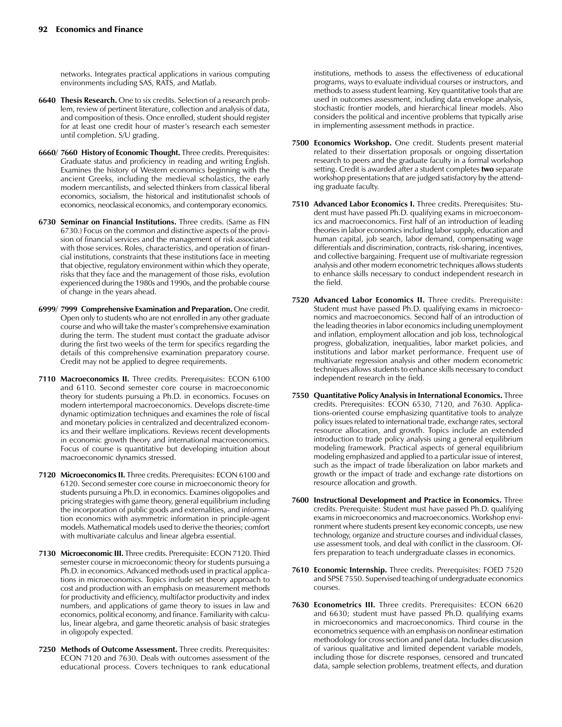networks. Integrates practical applications in various computing environments including SAS, RATS, and Matlab.

- **6640 Thesis Research.** One to six credits. Selection of a research problem, review of pertinent literature, collection and analysis of data, and composition of thesis. Once enrolled, student should register for at least one credit hour of master's research each semester until completion. S/U grading.
- **6660/ 7660 History of Economic Thought.** Three credits. Prerequisites: Graduate status and proficiency in reading and writing English. Examines the history of Western economics beginning with the ancient Greeks, including the medieval scholastics, the early modern mercantilists, and selected thinkers from classical liberal economics, socialism, the historical and institutionalist schools of economics, neoclassical economics, and contemporary economics.
- **6730 Seminar on Financial Institutions.** Three credits. (Same as FIN 6730.) Focus on the common and distinctive aspects of the provision of financial services and the management of risk associated with those services. Roles, characteristics, and operation of financial institutions, constraints that these institutions face in meeting that objective, regulatory environment within which they operate, risks that they face and the management of those risks, evolution experienced during the 1980s and 1990s, and the probable course of change in the years ahead.
- **6999/ 7999 Comprehensive Examination and Preparation.** One credit. Open only to students who are not enrolled in any other graduate course and who will take the master's comprehensive examination during the term. The student must contact the graduate advisor during the first two weeks of the term for specifics regarding the details of this comprehensive examination preparatory course. Credit may not be applied to degree requirements.
- **7110 Macroeconomics II.** Three credits. Prerequisites: ECON 6100 and 6110. Second semester core course in macroeconomic theory for students pursuing a Ph.D. in economics. Focuses on modern intertemporal macroeconomics. Develops discrete-time dynamic optimization techniques and examines the role of fiscal and monetary policies in centralized and decentralized economics and their welfare implications. Reviews recent developments in economic growth theory and international macroeconomics. Focus of course is quantitative but developing intuition about macroeconomic dynamics stressed.
- **7120 Microeconomics II.** Three credits. Prerequisites: ECON 6100 and 6120. Second semester core course in microeconomic theory for students pursuing a Ph.D. in economics. Examines oligopolies and pricing strategies with game theory, general equilibrium including the incorporation of public goods and externalities, and information economics with asymmetric information in principle-agent models. Mathematical models used to derive the theories; comfort with multivariate calculus and linear algebra essential.
- **7130 Microeconomic III.** Three credits. Prerequisite: ECON 7120. Third semester course in microeconomic theory for students pursuing a Ph.D. in economics. Advanced methods used in practical applications in microeconomics. Topics include set theory approach to cost and production with an emphasis on measurement methods for productivity and efficiency, multifactor productivity and index numbers, and applications of game theory to issues in law and economics, political economy, and finance. Familiarity with calculus, linear algebra, and game theoretic analysis of basic strategies in oligopoly expected.
- **7250 Methods of Outcome Assessment.** Three credits. Prerequisites: ECON 7120 and 7630. Deals with outcomes assessment of the educational process. Covers techniques to rank educational

institutions, methods to assess the effectiveness of educational programs, ways to evaluate individual courses or instructors, and methods to assess student learning. Key quantitative tools that are used in outcomes assessment, including data envelope analysis, stochastic frontier models, and hierarchical linear models. Also considers the political and incentive problems that typically arise in implementing assessment methods in practice.

- **7500 Economics Workshop.** One credit. Students present material related to their dissertation proposals or ongoing dissertation research to peers and the graduate faculty in a formal workshop setting. Credit is awarded after a student completes **two** separate workshop presentations that are judged satisfactory by the attending graduate faculty.
- **7510 Advanced Labor Economics I.** Three credits. Prerequisites: Student must have passed Ph.D. qualifying exams in microeconomics and macroeconomics. First half of an introduction of leading theories in labor economics including labor supply, education and human capital, job search, labor demand, compensating wage differentials and discrimination, contracts, risk-sharing, incentives, and collective bargaining. Frequent use of multivariate regression analysis and other modern econometric techniques allows students to enhance skills necessary to conduct independent research in the field.
- **7520 Advanced Labor Economics II.** Three credits. Prerequisite: Student must have passed Ph.D. qualifying exams in microeconomics and macroeconomics. Second half of an introduction of the leading theories in labor economics including unemployment and inflation, employment allocation and job loss, technological progress, globalization, inequalities, labor market policies, and institutions and labor market performance. Frequent use of multivariate regression analysis and other modern econometric techniques allows students to enhance skills necessary to conduct independent research in the field.
- **7550 Quantitative Policy Analysis in International Economics.** Three credits. Prerequisites: ECON 6530, 7120, and 7630. Applications-oriented course emphasizing quantitative tools to analyze policy issues related to international trade, exchange rates, sectoral resource allocation, and growth. Topics include an extended introduction to trade policy analysis using a general equilibrium modeling framework. Practical aspects of general equilibrium modeling emphasized and applied to a particular issue of interest, such as the impact of trade liberalization on labor markets and growth or the impact of trade and exchange rate distortions on resource allocation and growth.
- **7600 Instructional Development and Practice in Economics.** Three credits. Prerequisite: Student must have passed Ph.D. qualifying exams in microeconomics and macroeconomics. Workshop environment where students present key economic concepts, use new technology, organize and structure courses and individual classes, use assessment tools, and deal with conflict in the classroom. Offers preparation to teach undergraduate classes in economics.
- **7610 Economic Internship.** Three credits. Prerequisites: FOED 7520 and SPSE 7550. Supervised teaching of undergraduate economics courses.
- **7630 Econometrics III.** Three credits. Prerequisites: ECON 6620 and 6630; student must have passed Ph.D. qualifying exams in microeconomics and macroeconomics. Third course in the econometrics sequence with an emphasis on nonlinear estimation methodology for cross section and panel data. Includes discussion of various qualitative and limited dependent variable models, including those for discrete responses, censored and truncated data, sample selection problems, treatment effects, and duration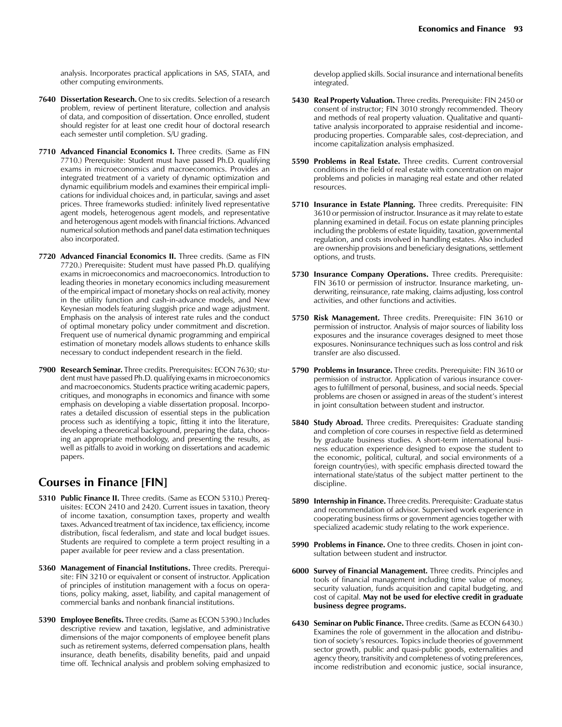analysis. Incorporates practical applications in SAS, STATA, and other computing environments.

- **7640 Dissertation Research.** One to six credits. Selection of a research problem, review of pertinent literature, collection and analysis of data, and composition of dissertation. Once enrolled, student should register for at least one credit hour of doctoral research each semester until completion. S/U grading.
- **7710 Advanced Financial Economics I.** Three credits. (Same as FIN 7710.) Prerequisite: Student must have passed Ph.D. qualifying exams in microeconomics and macroeconomics. Provides an integrated treatment of a variety of dynamic optimization and dynamic equilibrium models and examines their empirical implications for individual choices and, in particular, savings and asset prices. Three frameworks studied: infinitely lived representative agent models, heterogenous agent models, and representative and heterogenous agent models with financial frictions. Advanced numerical solution methods and panel data estimation techniques also incorporated.
- **7720 Advanced Financial Economics II.** Three credits. (Same as FIN 7720.) Prerequisite: Student must have passed Ph.D. qualifying exams in microeconomics and macroeconomics. Introduction to leading theories in monetary economics including measurement of the empirical impact of monetary shocks on real activity, money in the utility function and cash-in-advance models, and New Keynesian models featuring sluggish price and wage adjustment. Emphasis on the analysis of interest rate rules and the conduct of optimal monetary policy under commitment and discretion. Frequent use of numerical dynamic programming and empirical estimation of monetary models allows students to enhance skills necessary to conduct independent research in the field.
- **7900 Research Seminar.** Three credits. Prerequisites: ECON 7630; student must have passed Ph.D. qualifying exams in microeconomics and macroeconomics. Students practice writing academic papers, critiques, and monographs in economics and finance with some emphasis on developing a viable dissertation proposal. Incorporates a detailed discussion of essential steps in the publication process such as identifying a topic, fitting it into the literature, developing a theoretical background, preparing the data, choosing an appropriate methodology, and presenting the results, as well as pitfalls to avoid in working on dissertations and academic papers.

## **Courses in Finance [FIN]**

- **5310 Public Finance II.** Three credits. (Same as ECON 5310.) Prerequisites: ECON 2410 and 2420. Current issues in taxation, theory of income taxation, consumption taxes, property and wealth taxes. Advanced treatment of tax incidence, tax efficiency, income distribution, fiscal federalism, and state and local budget issues. Students are required to complete a term project resulting in a paper available for peer review and a class presentation.
- **5360 Management of Financial Institutions.** Three credits. Prerequisite: FIN 3210 or equivalent or consent of instructor. Application of principles of institution management with a focus on operations, policy making, asset, liability, and capital management of commercial banks and nonbank financial institutions.
- **5390 Employee Benefits.** Three credits. (Same as ECON 5390.) Includes descriptive review and taxation, legislative, and administrative dimensions of the major components of employee benefit plans such as retirement systems, deferred compensation plans, health insurance, death benefits, disability benefits, paid and unpaid time off. Technical analysis and problem solving emphasized to

develop applied skills. Social insurance and international benefits integrated.

- **5430 Real Property Valuation.** Three credits. Prerequisite: FIN 2450 or consent of instructor; FIN 3010 strongly recommended. Theory and methods of real property valuation. Qualitative and quantitative analysis incorporated to appraise residential and incomeproducing properties. Comparable sales, cost-depreciation, and income capitalization analysis emphasized.
- **5590 Problems in Real Estate.** Three credits. Current controversial conditions in the field of real estate with concentration on major problems and policies in managing real estate and other related resources.
- **5710 Insurance in Estate Planning.** Three credits. Prerequisite: FIN 3610 or permission of instructor. Insurance as it may relate to estate planning examined in detail. Focus on estate planning principles including the problems of estate liquidity, taxation, governmental regulation, and costs involved in handling estates. Also included are ownership provisions and beneficiary designations, settlement options, and trusts.
- **5730 Insurance Company Operations.** Three credits. Prerequisite: FIN 3610 or permission of instructor. Insurance marketing, underwriting, reinsurance, rate making, claims adjusting, loss control activities, and other functions and activities.
- **5750 Risk Management.** Three credits. Prerequisite: FIN 3610 or permission of instructor. Analysis of major sources of liability loss exposures and the insurance coverages designed to meet those exposures. Noninsurance techniques such as loss control and risk transfer are also discussed.
- **5790 Problems in Insurance.** Three credits. Prerequisite: FIN 3610 or permission of instructor. Application of various insurance coverages to fulfillment of personal, business, and social needs. Special problems are chosen or assigned in areas of the student's interest in joint consultation between student and instructor.
- **5840 Study Abroad.** Three credits. Prerequisites: Graduate standing and completion of core courses in respective field as determined by graduate business studies. A short-term international business education experience designed to expose the student to the economic, political, cultural, and social environments of a foreign country(ies), with specific emphasis directed toward the international state/status of the subject matter pertinent to the discipline.
- **5890 Internship in Finance.** Three credits. Prerequisite: Graduate status and recommendation of advisor. Supervised work experience in cooperating business firms or government agencies together with specialized academic study relating to the work experience.
- **5990 Problems in Finance.** One to three credits. Chosen in joint consultation between student and instructor.
- **6000 Survey of Financial Management.** Three credits. Principles and tools of financial management including time value of money, security valuation, funds acquisition and capital budgeting, and cost of capital. **May not be used for elective credit in graduate business degree programs.**
- **6430 Seminar on Public Finance.** Three credits. (Same as ECON 6430.) Examines the role of government in the allocation and distribution of society's resources. Topics include theories of government sector growth, public and quasi-public goods, externalities and agency theory, transitivity and completeness of voting preferences, income redistribution and economic justice, social insurance,